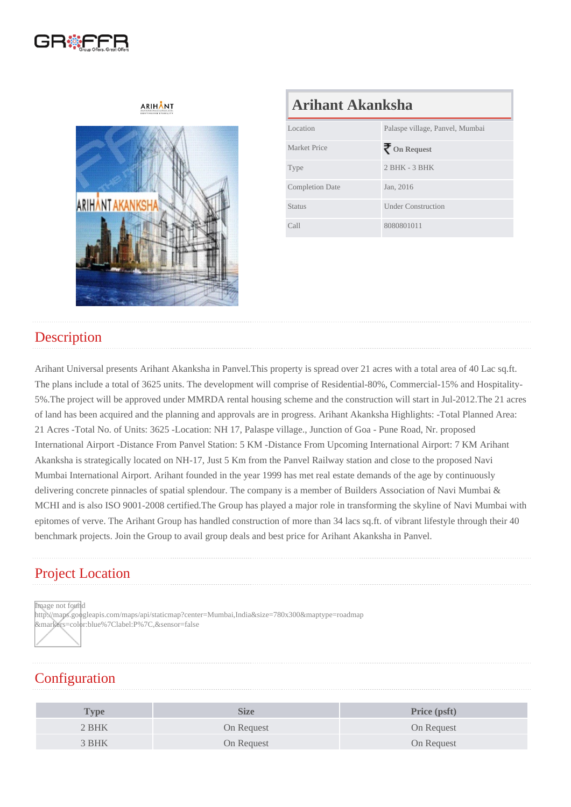# Arihant Akanksha

| Location               | Palaspe village, Panvel, Mumbai |
|------------------------|---------------------------------|
| <b>Market Price</b>    | On Request                      |
| <b>Type</b>            | $2$ BHK - 3 BHK                 |
| <b>Completion Date</b> | Jan, 2016                       |
| <b>Status</b>          | <b>Under Construction</b>       |
| Call                   | 8080801011                      |

#### **Description**

Arihant Universal presents Arihant Akanksha in Panvel.This property is spread over 21 acres with a total area of 40 Lac sq.ft. The plans include a total of 3625 units. The development will comprise of Residential-80%, Commercial-15% and Hospitality-5%.The project will be approved under MMRDA rental housing scheme and the construction will start in Jul-2012.The 21 acres of land has been acquired and the planning and approvals are in progress. Arihant Akanksha Highlights: -Total Planned Area: 21 Acres -Total No. of Units: 3625 -Location: NH 17, Palaspe village., Junction of Goa - Pune Road, Nr. proposed International Airport -Distance From Panvel Station: 5 KM -Distance From Upcoming International Airport: 7 KM Arihant Akanksha is strategically located on NH-17, Just 5 Km from the Panvel Railway station and close to the proposed Navi Mumbai International Airport. Arihant founded in the year 1999 has met real estate demands of the age by continuously delivering concrete pinnacles of spatial splendour. The company is a member of Builders Association of Navi Mumbai & MCHI and is also ISO 9001-2008 certified.The Group has played a major role in transforming the skyline of Navi Mumbai with epitomes of verve. The Arihant Group has handled construction of more than 34 lacs sq.ft. of vibrant lifestyle through their 40 benchmark projects. Join the Group to avail group deals and best price for Arihant Akanksha in Panvel.

#### Project Location

Image not found

http://maps.googleapis.com/maps/api/staticmap?center=Mumbai,India&size=780x300&maptype=roadmap &markers=color:blue%7Clabel:P%7C,&sensor=false

### **Configuration**

| $T$ ype | Size       | Price (psft) |
|---------|------------|--------------|
| 2 BHK   | On Request | On Request   |
| 3 BHK   | On Request | On Request   |